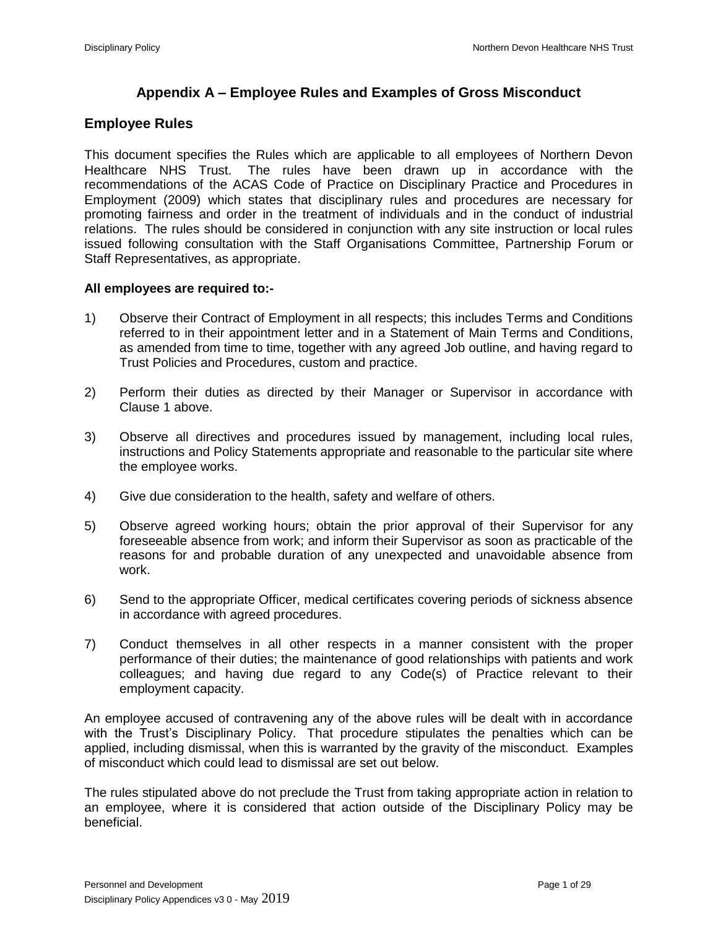# **Appendix A – Employee Rules and Examples of Gross Misconduct**

# **Employee Rules**

This document specifies the Rules which are applicable to all employees of Northern Devon Healthcare NHS Trust. The rules have been drawn up in accordance with the recommendations of the ACAS Code of Practice on Disciplinary Practice and Procedures in Employment (2009) which states that disciplinary rules and procedures are necessary for promoting fairness and order in the treatment of individuals and in the conduct of industrial relations. The rules should be considered in conjunction with any site instruction or local rules issued following consultation with the Staff Organisations Committee, Partnership Forum or Staff Representatives, as appropriate.

## **All employees are required to:-**

- 1) Observe their Contract of Employment in all respects; this includes Terms and Conditions referred to in their appointment letter and in a Statement of Main Terms and Conditions, as amended from time to time, together with any agreed Job outline, and having regard to Trust Policies and Procedures, custom and practice.
- 2) Perform their duties as directed by their Manager or Supervisor in accordance with Clause 1 above.
- 3) Observe all directives and procedures issued by management, including local rules, instructions and Policy Statements appropriate and reasonable to the particular site where the employee works.
- 4) Give due consideration to the health, safety and welfare of others.
- 5) Observe agreed working hours; obtain the prior approval of their Supervisor for any foreseeable absence from work; and inform their Supervisor as soon as practicable of the reasons for and probable duration of any unexpected and unavoidable absence from work.
- 6) Send to the appropriate Officer, medical certificates covering periods of sickness absence in accordance with agreed procedures.
- 7) Conduct themselves in all other respects in a manner consistent with the proper performance of their duties; the maintenance of good relationships with patients and work colleagues; and having due regard to any Code(s) of Practice relevant to their employment capacity.

An employee accused of contravening any of the above rules will be dealt with in accordance with the Trust's Disciplinary Policy. That procedure stipulates the penalties which can be applied, including dismissal, when this is warranted by the gravity of the misconduct. Examples of misconduct which could lead to dismissal are set out below.

The rules stipulated above do not preclude the Trust from taking appropriate action in relation to an employee, where it is considered that action outside of the Disciplinary Policy may be beneficial.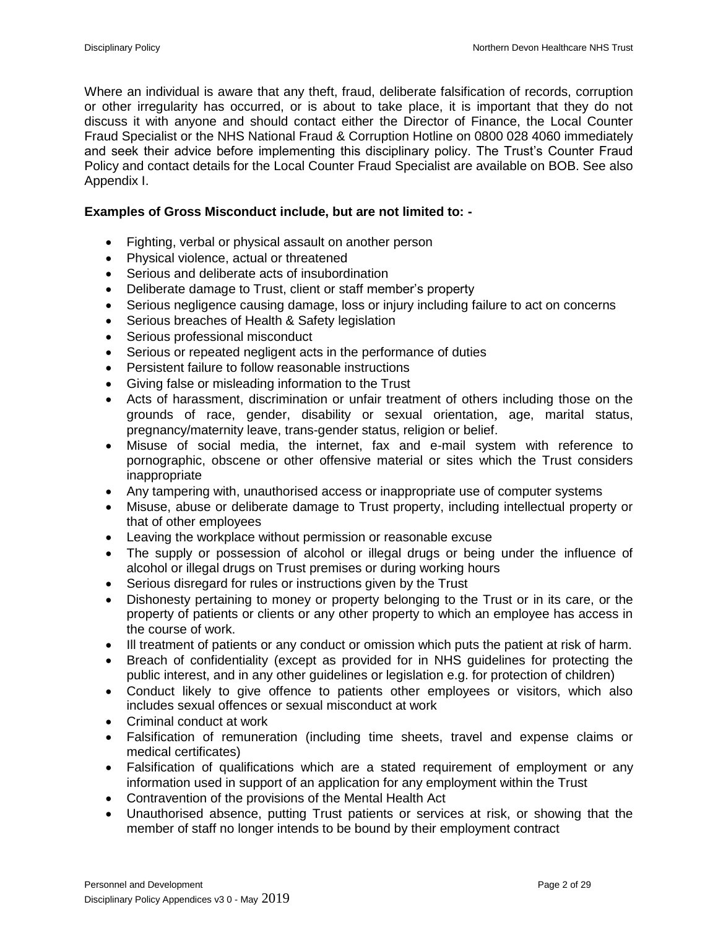Where an individual is aware that any theft, fraud, deliberate falsification of records, corruption or other irregularity has occurred, or is about to take place, it is important that they do not discuss it with anyone and should contact either the Director of Finance, the Local Counter Fraud Specialist or the NHS National Fraud & Corruption Hotline on 0800 028 4060 immediately and seek their advice before implementing this disciplinary policy. The Trust's Counter Fraud Policy and contact details for the Local Counter Fraud Specialist are available on BOB. See also Appendix I.

## **Examples of Gross Misconduct include, but are not limited to: -**

- Fighting, verbal or physical assault on another person
- Physical violence, actual or threatened
- Serious and deliberate acts of insubordination
- Deliberate damage to Trust, client or staff member's property
- Serious negligence causing damage, loss or injury including failure to act on concerns
- Serious breaches of Health & Safety legislation
- Serious professional misconduct
- Serious or repeated negligent acts in the performance of duties
- Persistent failure to follow reasonable instructions
- Giving false or misleading information to the Trust
- Acts of harassment, discrimination or unfair treatment of others including those on the grounds of race, gender, disability or sexual orientation, age, marital status, pregnancy/maternity leave, trans-gender status, religion or belief.
- Misuse of social media, the internet, fax and e-mail system with reference to pornographic, obscene or other offensive material or sites which the Trust considers inappropriate
- Any tampering with, unauthorised access or inappropriate use of computer systems
- Misuse, abuse or deliberate damage to Trust property, including intellectual property or that of other employees
- Leaving the workplace without permission or reasonable excuse
- The supply or possession of alcohol or illegal drugs or being under the influence of alcohol or illegal drugs on Trust premises or during working hours
- Serious disregard for rules or instructions given by the Trust
- Dishonesty pertaining to money or property belonging to the Trust or in its care, or the property of patients or clients or any other property to which an employee has access in the course of work.
- Ill treatment of patients or any conduct or omission which puts the patient at risk of harm.
- Breach of confidentiality (except as provided for in NHS guidelines for protecting the public interest, and in any other guidelines or legislation e.g. for protection of children)
- Conduct likely to give offence to patients other employees or visitors, which also includes sexual offences or sexual misconduct at work
- Criminal conduct at work
- Falsification of remuneration (including time sheets, travel and expense claims or medical certificates)
- Falsification of qualifications which are a stated requirement of employment or any information used in support of an application for any employment within the Trust
- Contravention of the provisions of the Mental Health Act
- Unauthorised absence, putting Trust patients or services at risk, or showing that the member of staff no longer intends to be bound by their employment contract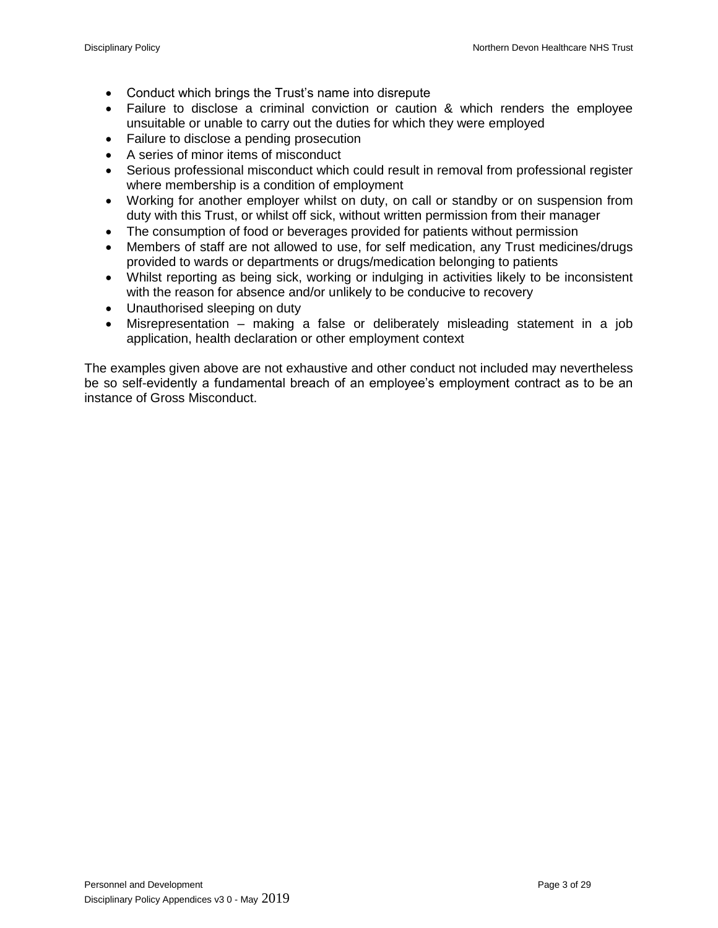- Conduct which brings the Trust's name into disrepute
- Failure to disclose a criminal conviction or caution & which renders the employee unsuitable or unable to carry out the duties for which they were employed
- Failure to disclose a pending prosecution
- A series of minor items of misconduct
- Serious professional misconduct which could result in removal from professional register where membership is a condition of employment
- Working for another employer whilst on duty, on call or standby or on suspension from duty with this Trust, or whilst off sick, without written permission from their manager
- The consumption of food or beverages provided for patients without permission
- Members of staff are not allowed to use, for self medication, any Trust medicines/drugs provided to wards or departments or drugs/medication belonging to patients
- Whilst reporting as being sick, working or indulging in activities likely to be inconsistent with the reason for absence and/or unlikely to be conducive to recovery
- Unauthorised sleeping on duty
- Misrepresentation making a false or deliberately misleading statement in a job application, health declaration or other employment context

The examples given above are not exhaustive and other conduct not included may nevertheless be so self-evidently a fundamental breach of an employee's employment contract as to be an instance of Gross Misconduct.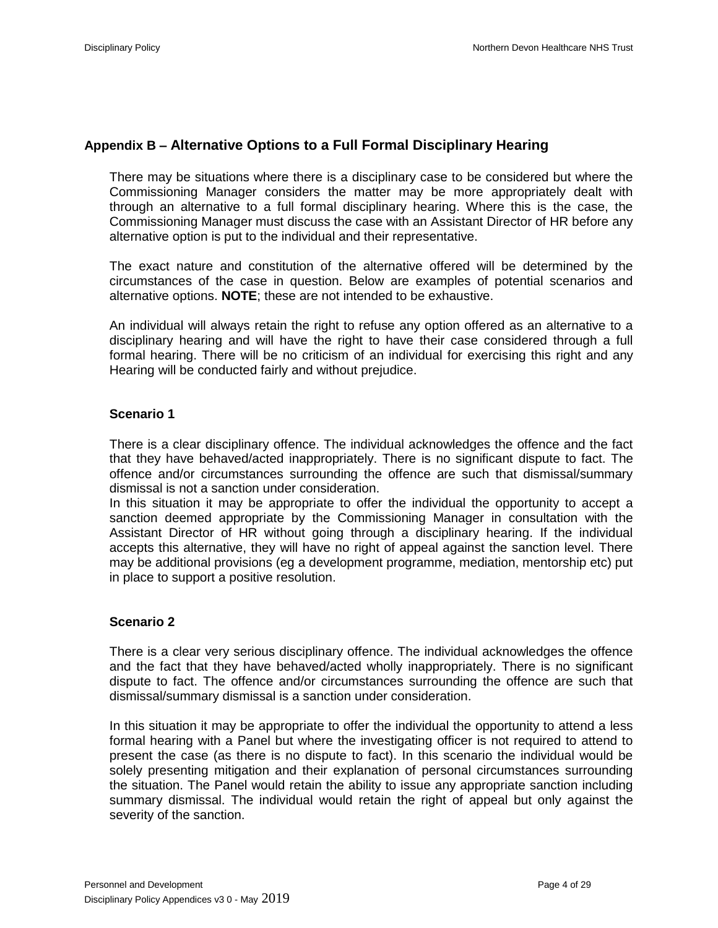## **Appendix B – Alternative Options to a Full Formal Disciplinary Hearing**

There may be situations where there is a disciplinary case to be considered but where the Commissioning Manager considers the matter may be more appropriately dealt with through an alternative to a full formal disciplinary hearing. Where this is the case, the Commissioning Manager must discuss the case with an Assistant Director of HR before any alternative option is put to the individual and their representative.

The exact nature and constitution of the alternative offered will be determined by the circumstances of the case in question. Below are examples of potential scenarios and alternative options. **NOTE**; these are not intended to be exhaustive.

An individual will always retain the right to refuse any option offered as an alternative to a disciplinary hearing and will have the right to have their case considered through a full formal hearing. There will be no criticism of an individual for exercising this right and any Hearing will be conducted fairly and without prejudice.

### **Scenario 1**

There is a clear disciplinary offence. The individual acknowledges the offence and the fact that they have behaved/acted inappropriately. There is no significant dispute to fact. The offence and/or circumstances surrounding the offence are such that dismissal/summary dismissal is not a sanction under consideration.

In this situation it may be appropriate to offer the individual the opportunity to accept a sanction deemed appropriate by the Commissioning Manager in consultation with the Assistant Director of HR without going through a disciplinary hearing. If the individual accepts this alternative, they will have no right of appeal against the sanction level. There may be additional provisions (eg a development programme, mediation, mentorship etc) put in place to support a positive resolution.

### **Scenario 2**

There is a clear very serious disciplinary offence. The individual acknowledges the offence and the fact that they have behaved/acted wholly inappropriately. There is no significant dispute to fact. The offence and/or circumstances surrounding the offence are such that dismissal/summary dismissal is a sanction under consideration.

In this situation it may be appropriate to offer the individual the opportunity to attend a less formal hearing with a Panel but where the investigating officer is not required to attend to present the case (as there is no dispute to fact). In this scenario the individual would be solely presenting mitigation and their explanation of personal circumstances surrounding the situation. The Panel would retain the ability to issue any appropriate sanction including summary dismissal. The individual would retain the right of appeal but only against the severity of the sanction.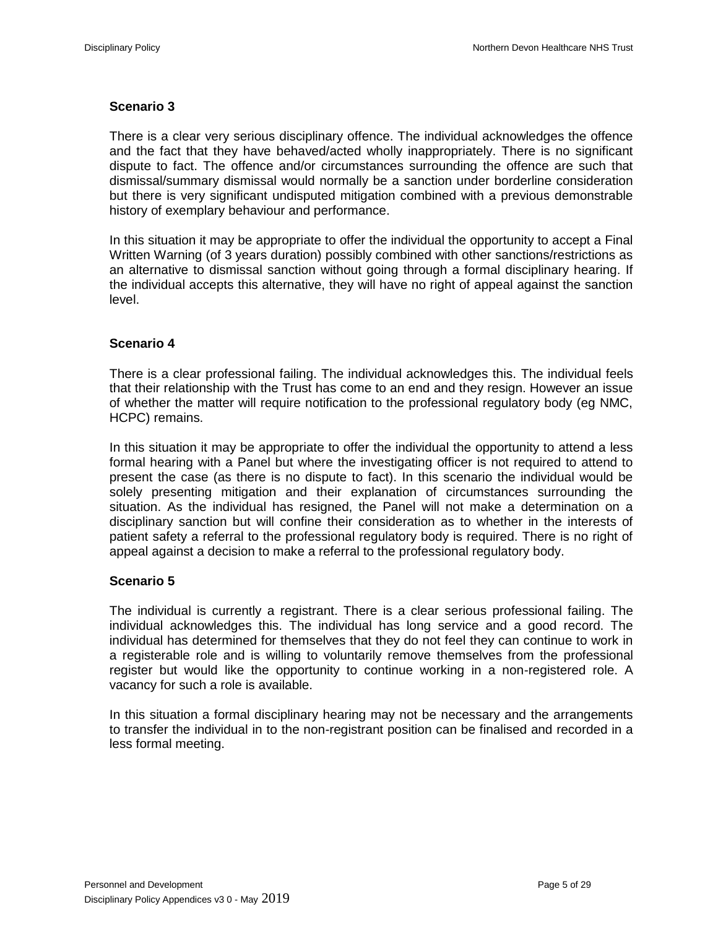## **Scenario 3**

There is a clear very serious disciplinary offence. The individual acknowledges the offence and the fact that they have behaved/acted wholly inappropriately. There is no significant dispute to fact. The offence and/or circumstances surrounding the offence are such that dismissal/summary dismissal would normally be a sanction under borderline consideration but there is very significant undisputed mitigation combined with a previous demonstrable history of exemplary behaviour and performance.

In this situation it may be appropriate to offer the individual the opportunity to accept a Final Written Warning (of 3 years duration) possibly combined with other sanctions/restrictions as an alternative to dismissal sanction without going through a formal disciplinary hearing. If the individual accepts this alternative, they will have no right of appeal against the sanction level.

## **Scenario 4**

There is a clear professional failing. The individual acknowledges this. The individual feels that their relationship with the Trust has come to an end and they resign. However an issue of whether the matter will require notification to the professional regulatory body (eg NMC, HCPC) remains.

In this situation it may be appropriate to offer the individual the opportunity to attend a less formal hearing with a Panel but where the investigating officer is not required to attend to present the case (as there is no dispute to fact). In this scenario the individual would be solely presenting mitigation and their explanation of circumstances surrounding the situation. As the individual has resigned, the Panel will not make a determination on a disciplinary sanction but will confine their consideration as to whether in the interests of patient safety a referral to the professional regulatory body is required. There is no right of appeal against a decision to make a referral to the professional regulatory body.

### **Scenario 5**

The individual is currently a registrant. There is a clear serious professional failing. The individual acknowledges this. The individual has long service and a good record. The individual has determined for themselves that they do not feel they can continue to work in a registerable role and is willing to voluntarily remove themselves from the professional register but would like the opportunity to continue working in a non-registered role. A vacancy for such a role is available.

In this situation a formal disciplinary hearing may not be necessary and the arrangements to transfer the individual in to the non-registrant position can be finalised and recorded in a less formal meeting.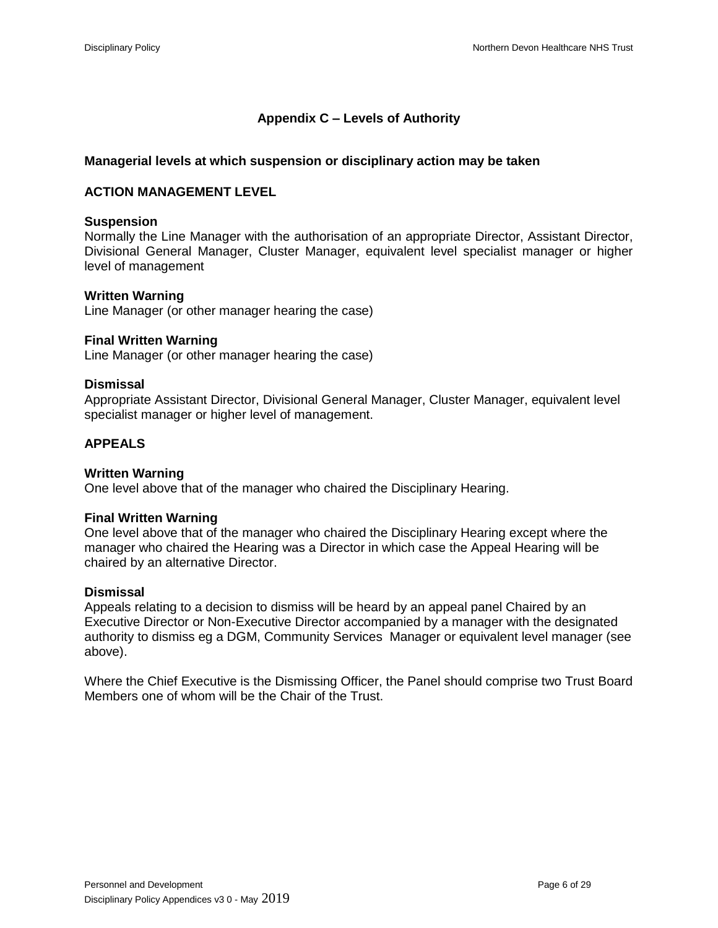# **Appendix C – Levels of Authority**

## **Managerial levels at which suspension or disciplinary action may be taken**

## **ACTION MANAGEMENT LEVEL**

### **Suspension**

Normally the Line Manager with the authorisation of an appropriate Director, Assistant Director, Divisional General Manager, Cluster Manager, equivalent level specialist manager or higher level of management

#### **Written Warning**

Line Manager (or other manager hearing the case)

#### **Final Written Warning**

Line Manager (or other manager hearing the case)

#### **Dismissal**

Appropriate Assistant Director, Divisional General Manager, Cluster Manager, equivalent level specialist manager or higher level of management.

### **APPEALS**

### **Written Warning**

One level above that of the manager who chaired the Disciplinary Hearing.

#### **Final Written Warning**

One level above that of the manager who chaired the Disciplinary Hearing except where the manager who chaired the Hearing was a Director in which case the Appeal Hearing will be chaired by an alternative Director.

### **Dismissal**

Appeals relating to a decision to dismiss will be heard by an appeal panel Chaired by an Executive Director or Non-Executive Director accompanied by a manager with the designated authority to dismiss eg a DGM, Community Services Manager or equivalent level manager (see above).

Where the Chief Executive is the Dismissing Officer, the Panel should comprise two Trust Board Members one of whom will be the Chair of the Trust.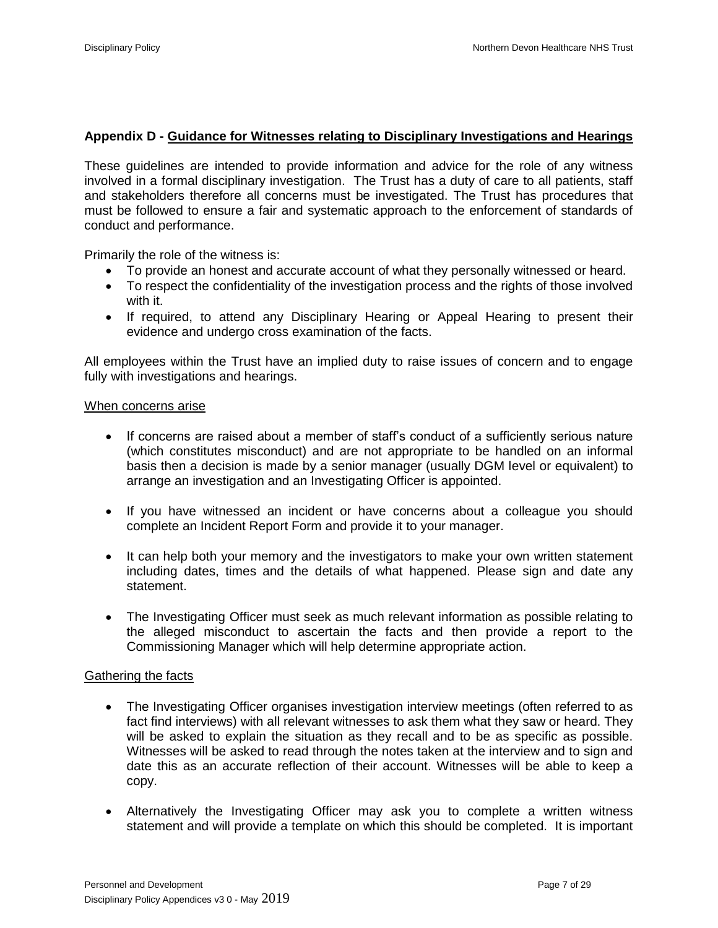## **Appendix D - Guidance for Witnesses relating to Disciplinary Investigations and Hearings**

These guidelines are intended to provide information and advice for the role of any witness involved in a formal disciplinary investigation. The Trust has a duty of care to all patients, staff and stakeholders therefore all concerns must be investigated. The Trust has procedures that must be followed to ensure a fair and systematic approach to the enforcement of standards of conduct and performance.

Primarily the role of the witness is:

- To provide an honest and accurate account of what they personally witnessed or heard.
- To respect the confidentiality of the investigation process and the rights of those involved with it.
- If required, to attend any Disciplinary Hearing or Appeal Hearing to present their evidence and undergo cross examination of the facts.

All employees within the Trust have an implied duty to raise issues of concern and to engage fully with investigations and hearings.

### When concerns arise

- If concerns are raised about a member of staff's conduct of a sufficiently serious nature (which constitutes misconduct) and are not appropriate to be handled on an informal basis then a decision is made by a senior manager (usually DGM level or equivalent) to arrange an investigation and an Investigating Officer is appointed.
- If you have witnessed an incident or have concerns about a colleague you should complete an Incident Report Form and provide it to your manager.
- It can help both your memory and the investigators to make your own written statement including dates, times and the details of what happened. Please sign and date any statement.
- The Investigating Officer must seek as much relevant information as possible relating to the alleged misconduct to ascertain the facts and then provide a report to the Commissioning Manager which will help determine appropriate action.

### Gathering the facts

- The Investigating Officer organises investigation interview meetings (often referred to as fact find interviews) with all relevant witnesses to ask them what they saw or heard. They will be asked to explain the situation as they recall and to be as specific as possible. Witnesses will be asked to read through the notes taken at the interview and to sign and date this as an accurate reflection of their account. Witnesses will be able to keep a copy.
- Alternatively the Investigating Officer may ask you to complete a written witness statement and will provide a template on which this should be completed. It is important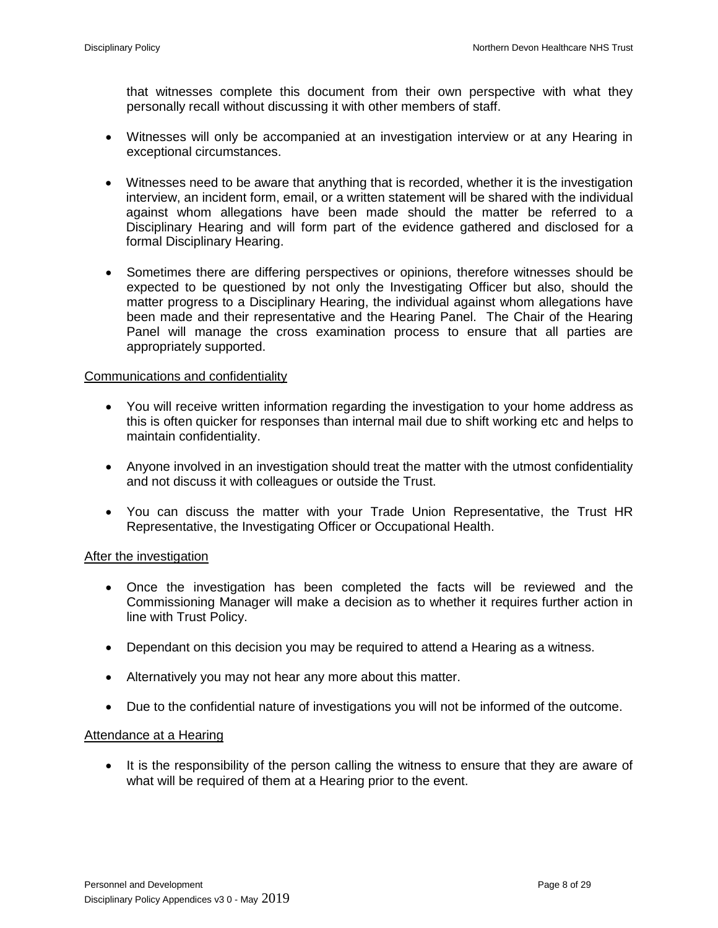that witnesses complete this document from their own perspective with what they personally recall without discussing it with other members of staff.

- Witnesses will only be accompanied at an investigation interview or at any Hearing in exceptional circumstances.
- Witnesses need to be aware that anything that is recorded, whether it is the investigation interview, an incident form, email, or a written statement will be shared with the individual against whom allegations have been made should the matter be referred to a Disciplinary Hearing and will form part of the evidence gathered and disclosed for a formal Disciplinary Hearing.
- Sometimes there are differing perspectives or opinions, therefore witnesses should be expected to be questioned by not only the Investigating Officer but also, should the matter progress to a Disciplinary Hearing, the individual against whom allegations have been made and their representative and the Hearing Panel. The Chair of the Hearing Panel will manage the cross examination process to ensure that all parties are appropriately supported.

### Communications and confidentiality

- You will receive written information regarding the investigation to your home address as this is often quicker for responses than internal mail due to shift working etc and helps to maintain confidentiality.
- Anyone involved in an investigation should treat the matter with the utmost confidentiality and not discuss it with colleagues or outside the Trust.
- You can discuss the matter with your Trade Union Representative, the Trust HR Representative, the Investigating Officer or Occupational Health.

### After the investigation

- Once the investigation has been completed the facts will be reviewed and the Commissioning Manager will make a decision as to whether it requires further action in line with Trust Policy.
- Dependant on this decision you may be required to attend a Hearing as a witness.
- Alternatively you may not hear any more about this matter.
- Due to the confidential nature of investigations you will not be informed of the outcome.

#### Attendance at a Hearing

• It is the responsibility of the person calling the witness to ensure that they are aware of what will be required of them at a Hearing prior to the event.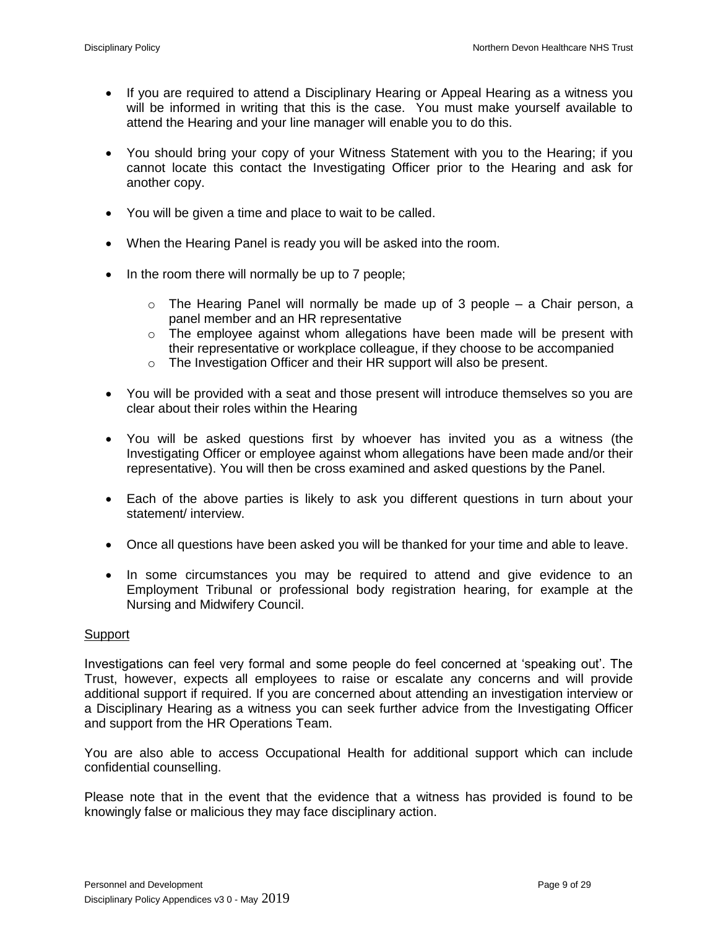- If you are required to attend a Disciplinary Hearing or Appeal Hearing as a witness you will be informed in writing that this is the case. You must make yourself available to attend the Hearing and your line manager will enable you to do this.
- You should bring your copy of your Witness Statement with you to the Hearing; if you cannot locate this contact the Investigating Officer prior to the Hearing and ask for another copy.
- You will be given a time and place to wait to be called.
- When the Hearing Panel is ready you will be asked into the room.
- $\bullet$  In the room there will normally be up to 7 people;
	- $\circ$  The Hearing Panel will normally be made up of 3 people a Chair person, a panel member and an HR representative
	- $\circ$  The employee against whom allegations have been made will be present with their representative or workplace colleague, if they choose to be accompanied
	- o The Investigation Officer and their HR support will also be present.
- You will be provided with a seat and those present will introduce themselves so you are clear about their roles within the Hearing
- You will be asked questions first by whoever has invited you as a witness (the Investigating Officer or employee against whom allegations have been made and/or their representative). You will then be cross examined and asked questions by the Panel.
- Each of the above parties is likely to ask you different questions in turn about your statement/ interview.
- Once all questions have been asked you will be thanked for your time and able to leave.
- In some circumstances you may be required to attend and give evidence to an Employment Tribunal or professional body registration hearing, for example at the Nursing and Midwifery Council.

### **Support**

Investigations can feel very formal and some people do feel concerned at 'speaking out'. The Trust, however, expects all employees to raise or escalate any concerns and will provide additional support if required. If you are concerned about attending an investigation interview or a Disciplinary Hearing as a witness you can seek further advice from the Investigating Officer and support from the HR Operations Team.

You are also able to access Occupational Health for additional support which can include confidential counselling.

Please note that in the event that the evidence that a witness has provided is found to be knowingly false or malicious they may face disciplinary action.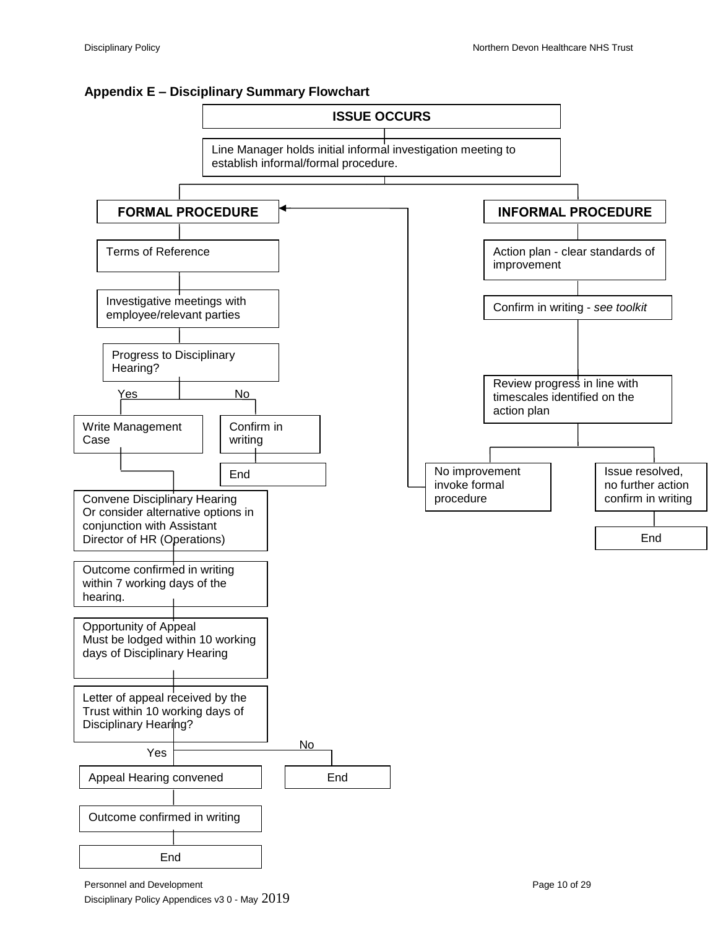



Personnel and Development **Page 10** of 29 Disciplinary Policy Appendices v3 0 - May 2019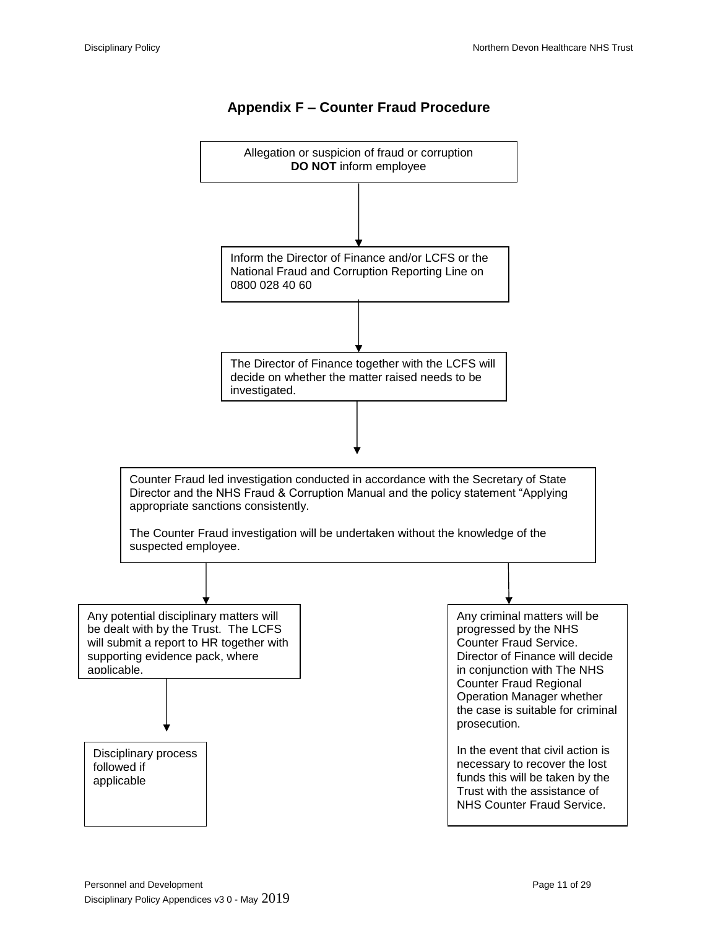

## **Appendix F – Counter Fraud Procedure**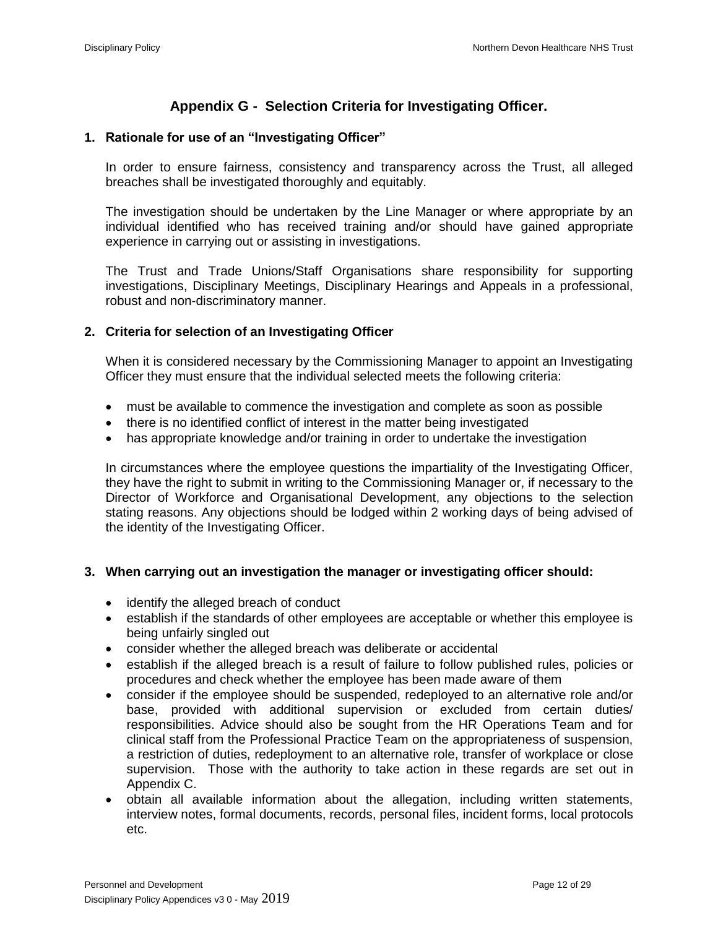# **Appendix G - Selection Criteria for Investigating Officer.**

## **1. Rationale for use of an "Investigating Officer"**

In order to ensure fairness, consistency and transparency across the Trust, all alleged breaches shall be investigated thoroughly and equitably.

The investigation should be undertaken by the Line Manager or where appropriate by an individual identified who has received training and/or should have gained appropriate experience in carrying out or assisting in investigations.

The Trust and Trade Unions/Staff Organisations share responsibility for supporting investigations, Disciplinary Meetings, Disciplinary Hearings and Appeals in a professional, robust and non-discriminatory manner.

# **2. Criteria for selection of an Investigating Officer**

When it is considered necessary by the Commissioning Manager to appoint an Investigating Officer they must ensure that the individual selected meets the following criteria:

- must be available to commence the investigation and complete as soon as possible
- there is no identified conflict of interest in the matter being investigated
- has appropriate knowledge and/or training in order to undertake the investigation

In circumstances where the employee questions the impartiality of the Investigating Officer, they have the right to submit in writing to the Commissioning Manager or, if necessary to the Director of Workforce and Organisational Development, any objections to the selection stating reasons. Any objections should be lodged within 2 working days of being advised of the identity of the Investigating Officer.

## **3. When carrying out an investigation the manager or investigating officer should:**

- identify the alleged breach of conduct
- establish if the standards of other employees are acceptable or whether this employee is being unfairly singled out
- consider whether the alleged breach was deliberate or accidental
- establish if the alleged breach is a result of failure to follow published rules, policies or procedures and check whether the employee has been made aware of them
- consider if the employee should be suspended, redeployed to an alternative role and/or base, provided with additional supervision or excluded from certain duties/ responsibilities. Advice should also be sought from the HR Operations Team and for clinical staff from the Professional Practice Team on the appropriateness of suspension, a restriction of duties, redeployment to an alternative role, transfer of workplace or close supervision. Those with the authority to take action in these regards are set out in Appendix C.
- obtain all available information about the allegation, including written statements, interview notes, formal documents, records, personal files, incident forms, local protocols etc.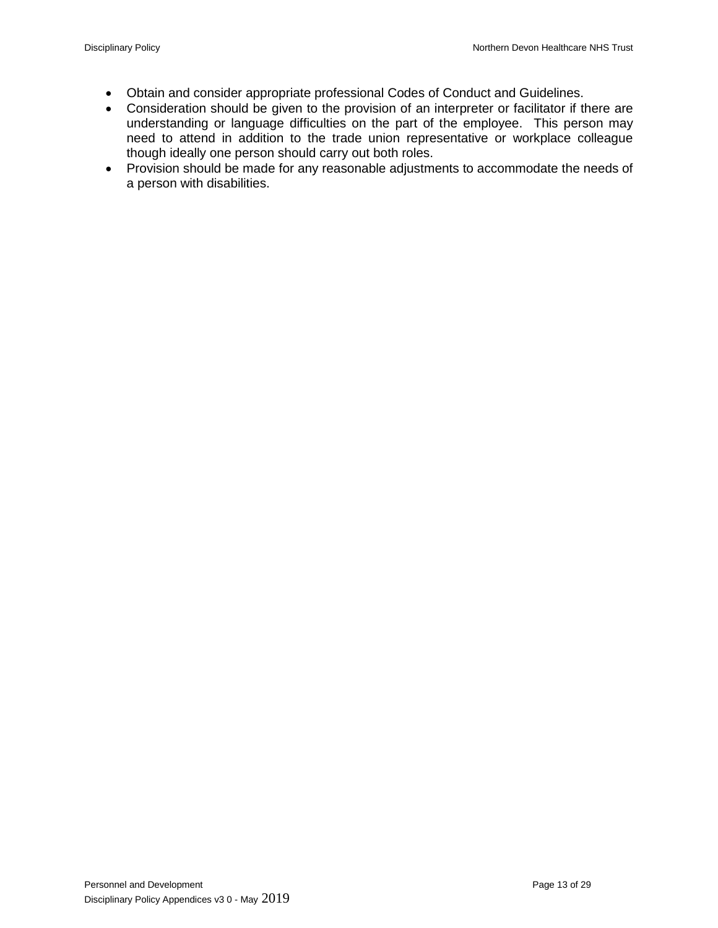- Obtain and consider appropriate professional Codes of Conduct and Guidelines.
- Consideration should be given to the provision of an interpreter or facilitator if there are understanding or language difficulties on the part of the employee. This person may need to attend in addition to the trade union representative or workplace colleague though ideally one person should carry out both roles.
- Provision should be made for any reasonable adjustments to accommodate the needs of a person with disabilities.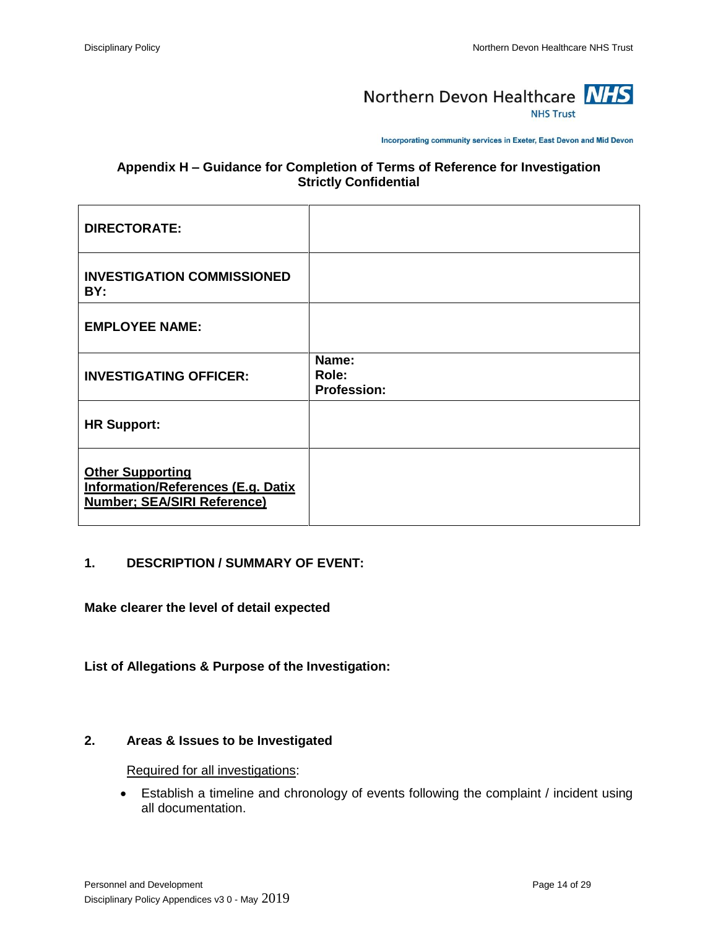

Incorporating community services in Exeter, East Devon and Mid Devon

## **Appendix H – Guidance for Completion of Terms of Reference for Investigation Strictly Confidential**

| <b>DIRECTORATE:</b>                                                                                        |                                      |
|------------------------------------------------------------------------------------------------------------|--------------------------------------|
| <b>INVESTIGATION COMMISSIONED</b><br>BY:                                                                   |                                      |
| <b>EMPLOYEE NAME:</b>                                                                                      |                                      |
| <b>INVESTIGATING OFFICER:</b>                                                                              | Name:<br>Role:<br><b>Profession:</b> |
| <b>HR Support:</b>                                                                                         |                                      |
| <b>Other Supporting</b><br><b>Information/References (E.g. Datix</b><br><b>Number; SEA/SIRI Reference)</b> |                                      |

## **1. DESCRIPTION / SUMMARY OF EVENT:**

**Make clearer the level of detail expected**

### **List of Allegations & Purpose of the Investigation:**

### **2. Areas & Issues to be Investigated**

Required for all investigations:

 Establish a timeline and chronology of events following the complaint / incident using all documentation.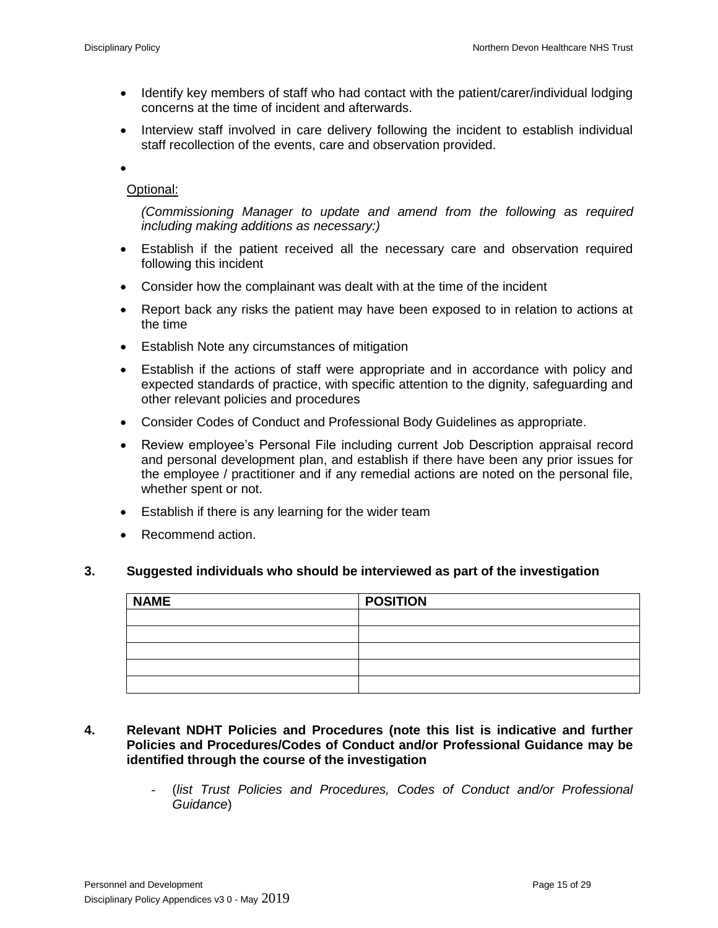- Identify key members of staff who had contact with the patient/carer/individual lodging concerns at the time of incident and afterwards.
- Interview staff involved in care delivery following the incident to establish individual staff recollection of the events, care and observation provided.

 $\bullet$ 

## Optional:

*(Commissioning Manager to update and amend from the following as required including making additions as necessary:)*

- Establish if the patient received all the necessary care and observation required following this incident
- Consider how the complainant was dealt with at the time of the incident
- Report back any risks the patient may have been exposed to in relation to actions at the time
- Establish Note any circumstances of mitigation
- Establish if the actions of staff were appropriate and in accordance with policy and expected standards of practice, with specific attention to the dignity, safeguarding and other relevant policies and procedures
- Consider Codes of Conduct and Professional Body Guidelines as appropriate.
- Review employee's Personal File including current Job Description appraisal record and personal development plan, and establish if there have been any prior issues for the employee / practitioner and if any remedial actions are noted on the personal file, whether spent or not.
- Establish if there is any learning for the wider team
- Recommend action.

### **3. Suggested individuals who should be interviewed as part of the investigation**

| <b>NAME</b> | <b>POSITION</b> |  |
|-------------|-----------------|--|
|             |                 |  |
|             |                 |  |
|             |                 |  |
|             |                 |  |
|             |                 |  |

- **4. Relevant NDHT Policies and Procedures (note this list is indicative and further Policies and Procedures/Codes of Conduct and/or Professional Guidance may be identified through the course of the investigation**
	- (*list Trust Policies and Procedures, Codes of Conduct and/or Professional Guidance*)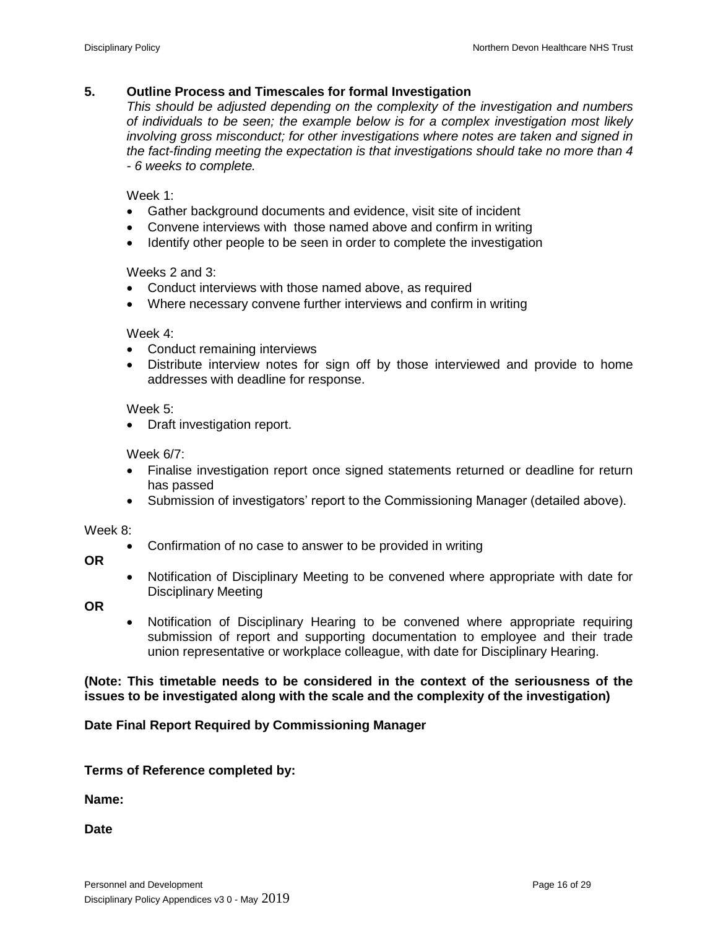## **5. Outline Process and Timescales for formal Investigation**

*This should be adjusted depending on the complexity of the investigation and numbers of individuals to be seen; the example below is for a complex investigation most likely involving gross misconduct; for other investigations where notes are taken and signed in the fact-finding meeting the expectation is that investigations should take no more than 4 - 6 weeks to complete.*

Week 1:

- Gather background documents and evidence, visit site of incident
- Convene interviews with those named above and confirm in writing
- Identify other people to be seen in order to complete the investigation

Weeks 2 and 3:

- Conduct interviews with those named above, as required
- Where necessary convene further interviews and confirm in writing

Week 4:

- Conduct remaining interviews
- Distribute interview notes for sign off by those interviewed and provide to home addresses with deadline for response.

Week 5:

• Draft investigation report.

Week 6/7:

- Finalise investigation report once signed statements returned or deadline for return has passed
- Submission of investigators' report to the Commissioning Manager (detailed above).

Week 8:

- Confirmation of no case to answer to be provided in writing
- **OR**
- Notification of Disciplinary Meeting to be convened where appropriate with date for Disciplinary Meeting

**OR**

 Notification of Disciplinary Hearing to be convened where appropriate requiring submission of report and supporting documentation to employee and their trade union representative or workplace colleague, with date for Disciplinary Hearing.

**(Note: This timetable needs to be considered in the context of the seriousness of the issues to be investigated along with the scale and the complexity of the investigation)**

**Date Final Report Required by Commissioning Manager**

**Terms of Reference completed by:**

**Name:**

**Date**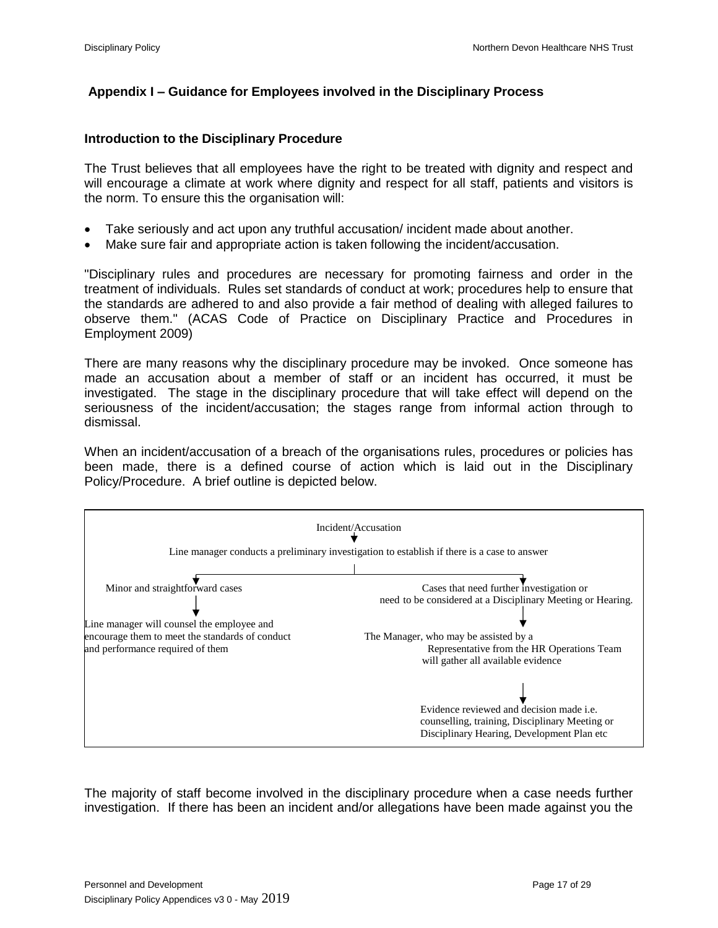# **Appendix I – Guidance for Employees involved in the Disciplinary Process**

## **Introduction to the Disciplinary Procedure**

The Trust believes that all employees have the right to be treated with dignity and respect and will encourage a climate at work where dignity and respect for all staff, patients and visitors is the norm. To ensure this the organisation will:

- Take seriously and act upon any truthful accusation/ incident made about another.
- Make sure fair and appropriate action is taken following the incident/accusation.

"Disciplinary rules and procedures are necessary for promoting fairness and order in the treatment of individuals. Rules set standards of conduct at work; procedures help to ensure that the standards are adhered to and also provide a fair method of dealing with alleged failures to observe them." (ACAS Code of Practice on Disciplinary Practice and Procedures in Employment 2009)

There are many reasons why the disciplinary procedure may be invoked. Once someone has made an accusation about a member of staff or an incident has occurred, it must be investigated. The stage in the disciplinary procedure that will take effect will depend on the seriousness of the incident/accusation; the stages range from informal action through to dismissal.

When an incident/accusation of a breach of the organisations rules, procedures or policies has been made, there is a defined course of action which is laid out in the Disciplinary Policy/Procedure. A brief outline is depicted below.



The majority of staff become involved in the disciplinary procedure when a case needs further investigation. If there has been an incident and/or allegations have been made against you the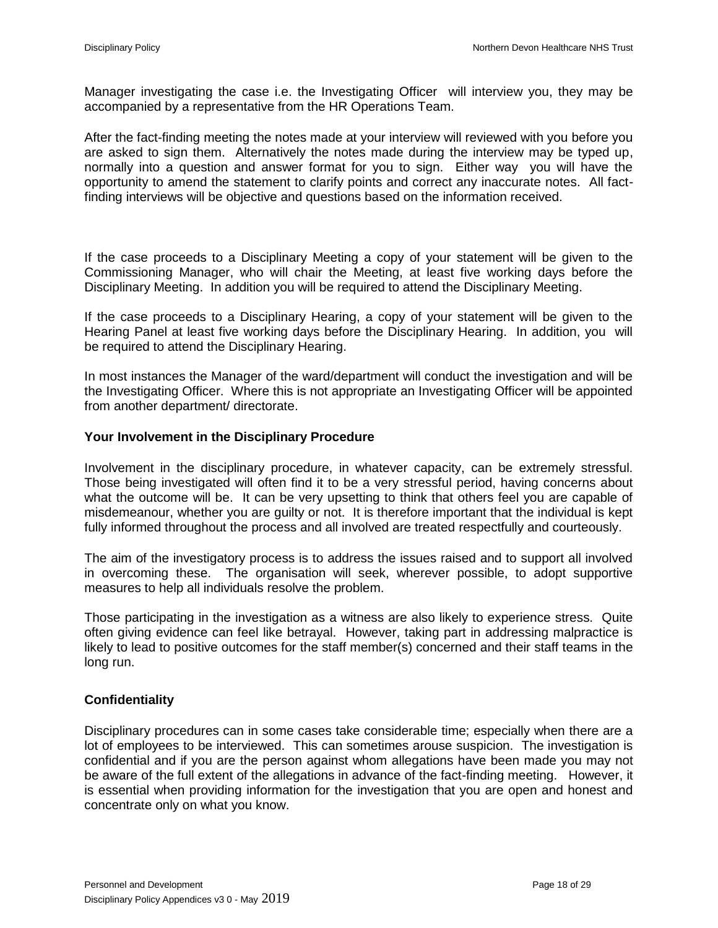Manager investigating the case i.e. the Investigating Officer will interview you, they may be accompanied by a representative from the HR Operations Team.

After the fact-finding meeting the notes made at your interview will reviewed with you before you are asked to sign them. Alternatively the notes made during the interview may be typed up, normally into a question and answer format for you to sign. Either way you will have the opportunity to amend the statement to clarify points and correct any inaccurate notes. All factfinding interviews will be objective and questions based on the information received.

If the case proceeds to a Disciplinary Meeting a copy of your statement will be given to the Commissioning Manager, who will chair the Meeting, at least five working days before the Disciplinary Meeting. In addition you will be required to attend the Disciplinary Meeting.

If the case proceeds to a Disciplinary Hearing, a copy of your statement will be given to the Hearing Panel at least five working days before the Disciplinary Hearing. In addition, you will be required to attend the Disciplinary Hearing.

In most instances the Manager of the ward/department will conduct the investigation and will be the Investigating Officer. Where this is not appropriate an Investigating Officer will be appointed from another department/ directorate.

### **Your Involvement in the Disciplinary Procedure**

Involvement in the disciplinary procedure, in whatever capacity, can be extremely stressful. Those being investigated will often find it to be a very stressful period, having concerns about what the outcome will be. It can be very upsetting to think that others feel you are capable of misdemeanour, whether you are guilty or not. It is therefore important that the individual is kept fully informed throughout the process and all involved are treated respectfully and courteously.

The aim of the investigatory process is to address the issues raised and to support all involved in overcoming these. The organisation will seek, wherever possible, to adopt supportive measures to help all individuals resolve the problem.

Those participating in the investigation as a witness are also likely to experience stress. Quite often giving evidence can feel like betrayal. However, taking part in addressing malpractice is likely to lead to positive outcomes for the staff member(s) concerned and their staff teams in the long run.

## **Confidentiality**

Disciplinary procedures can in some cases take considerable time; especially when there are a lot of employees to be interviewed. This can sometimes arouse suspicion. The investigation is confidential and if you are the person against whom allegations have been made you may not be aware of the full extent of the allegations in advance of the fact-finding meeting. However, it is essential when providing information for the investigation that you are open and honest and concentrate only on what you know.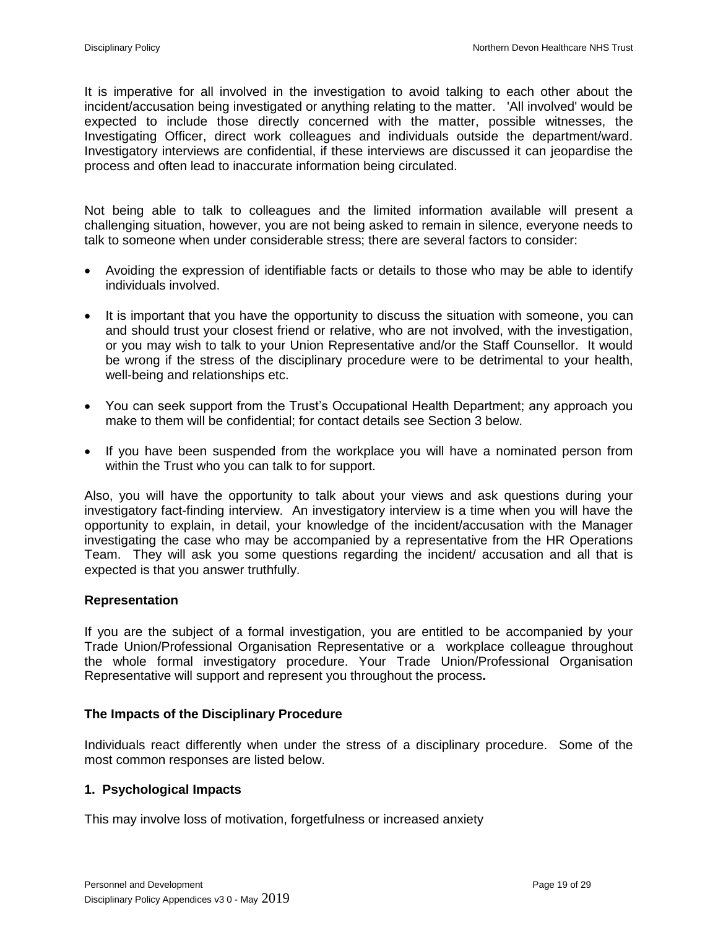It is imperative for all involved in the investigation to avoid talking to each other about the incident/accusation being investigated or anything relating to the matter. 'All involved' would be expected to include those directly concerned with the matter, possible witnesses, the Investigating Officer, direct work colleagues and individuals outside the department/ward. Investigatory interviews are confidential, if these interviews are discussed it can jeopardise the process and often lead to inaccurate information being circulated.

Not being able to talk to colleagues and the limited information available will present a challenging situation, however, you are not being asked to remain in silence, everyone needs to talk to someone when under considerable stress; there are several factors to consider:

- Avoiding the expression of identifiable facts or details to those who may be able to identify individuals involved.
- It is important that you have the opportunity to discuss the situation with someone, you can and should trust your closest friend or relative, who are not involved, with the investigation, or you may wish to talk to your Union Representative and/or the Staff Counsellor. It would be wrong if the stress of the disciplinary procedure were to be detrimental to your health, well-being and relationships etc.
- You can seek support from the Trust's Occupational Health Department; any approach you make to them will be confidential; for contact details see Section 3 below.
- If you have been suspended from the workplace you will have a nominated person from within the Trust who you can talk to for support.

Also, you will have the opportunity to talk about your views and ask questions during your investigatory fact-finding interview. An investigatory interview is a time when you will have the opportunity to explain, in detail, your knowledge of the incident/accusation with the Manager investigating the case who may be accompanied by a representative from the HR Operations Team. They will ask you some questions regarding the incident/ accusation and all that is expected is that you answer truthfully.

## **Representation**

If you are the subject of a formal investigation, you are entitled to be accompanied by your Trade Union/Professional Organisation Representative or a workplace colleague throughout the whole formal investigatory procedure. Your Trade Union/Professional Organisation Representative will support and represent you throughout the process**.**

## **The Impacts of the Disciplinary Procedure**

Individuals react differently when under the stress of a disciplinary procedure. Some of the most common responses are listed below.

## **1. Psychological Impacts**

This may involve loss of motivation, forgetfulness or increased anxiety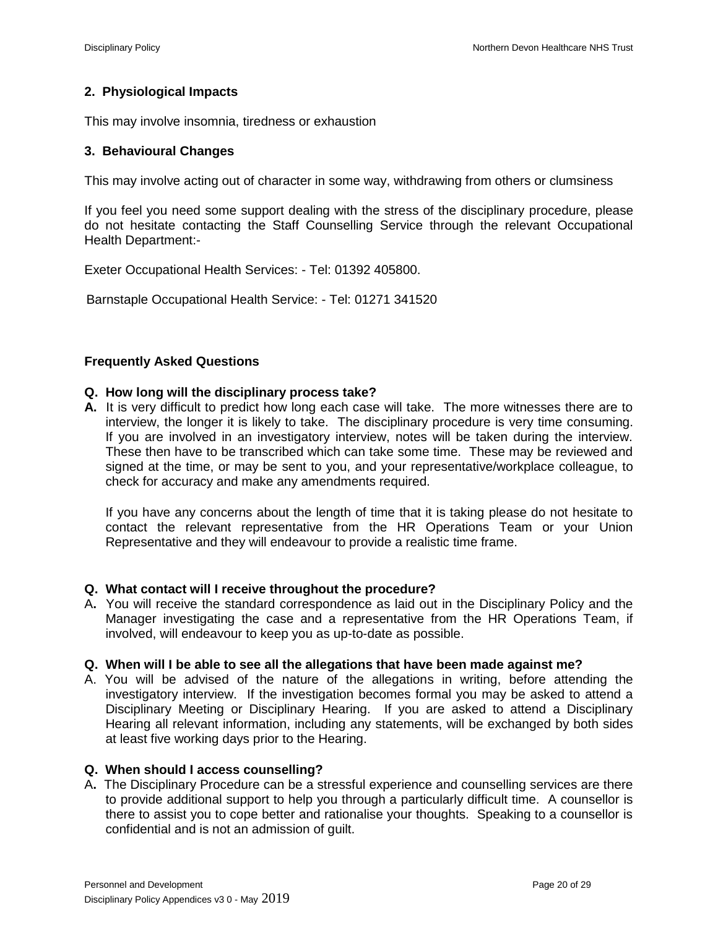## **2. Physiological Impacts**

This may involve insomnia, tiredness or exhaustion

## **3. Behavioural Changes**

This may involve acting out of character in some way, withdrawing from others or clumsiness

If you feel you need some support dealing with the stress of the disciplinary procedure, please do not hesitate contacting the Staff Counselling Service through the relevant Occupational Health Department:-

Exeter Occupational Health Services: - Tel: 01392 405800.

Barnstaple Occupational Health Service: - Tel: 01271 341520

## **Frequently Asked Questions**

## **Q. How long will the disciplinary process take?**

**A.** It is very difficult to predict how long each case will take. The more witnesses there are to interview, the longer it is likely to take. The disciplinary procedure is very time consuming. If you are involved in an investigatory interview, notes will be taken during the interview. These then have to be transcribed which can take some time. These may be reviewed and signed at the time, or may be sent to you, and your representative/workplace colleague, to check for accuracy and make any amendments required.

If you have any concerns about the length of time that it is taking please do not hesitate to contact the relevant representative from the HR Operations Team or your Union Representative and they will endeavour to provide a realistic time frame.

### **Q. What contact will I receive throughout the procedure?**

A**.** You will receive the standard correspondence as laid out in the Disciplinary Policy and the Manager investigating the case and a representative from the HR Operations Team, if involved, will endeavour to keep you as up-to-date as possible.

### **Q. When will I be able to see all the allegations that have been made against me?**

A. You will be advised of the nature of the allegations in writing, before attending the investigatory interview.If the investigation becomes formal you may be asked to attend a Disciplinary Meeting or Disciplinary Hearing. If you are asked to attend a Disciplinary Hearing all relevant information, including any statements, will be exchanged by both sides at least five working days prior to the Hearing.

### **Q. When should I access counselling?**

A**.** The Disciplinary Procedure can be a stressful experience and counselling services are there to provide additional support to help you through a particularly difficult time. A counsellor is there to assist you to cope better and rationalise your thoughts. Speaking to a counsellor is confidential and is not an admission of guilt.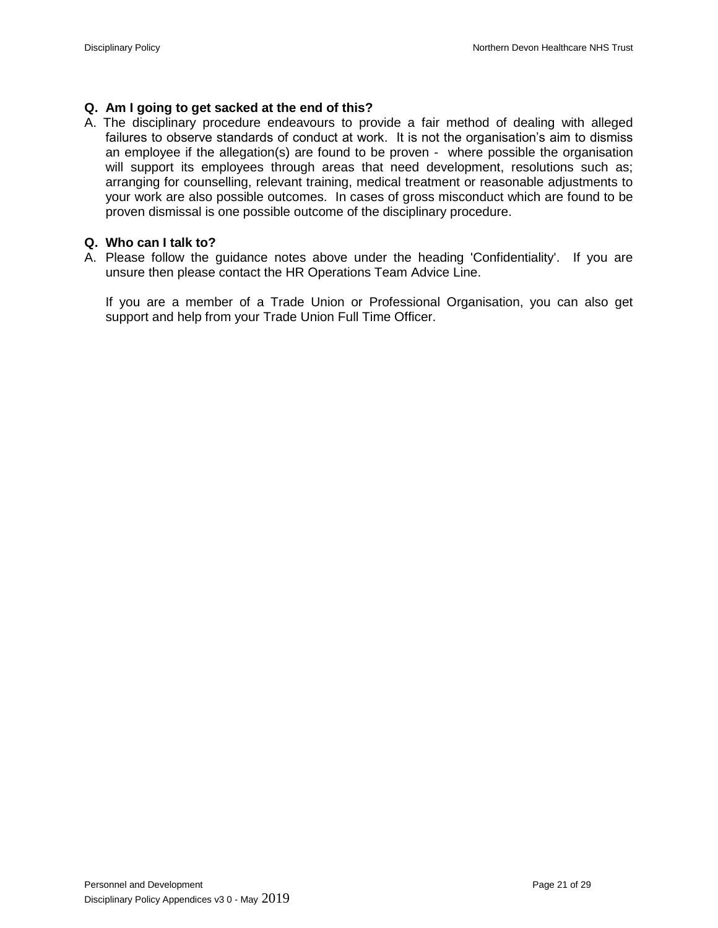## **Q. Am I going to get sacked at the end of this?**

A. The disciplinary procedure endeavours to provide a fair method of dealing with alleged failures to observe standards of conduct at work. It is not the organisation's aim to dismiss an employee if the allegation(s) are found to be proven - where possible the organisation will support its employees through areas that need development, resolutions such as; arranging for counselling, relevant training, medical treatment or reasonable adjustments to your work are also possible outcomes. In cases of gross misconduct which are found to be proven dismissal is one possible outcome of the disciplinary procedure.

## **Q. Who can I talk to?**

A. Please follow the guidance notes above under the heading 'Confidentiality'. If you are unsure then please contact the HR Operations Team Advice Line.

If you are a member of a Trade Union or Professional Organisation, you can also get support and help from your Trade Union Full Time Officer.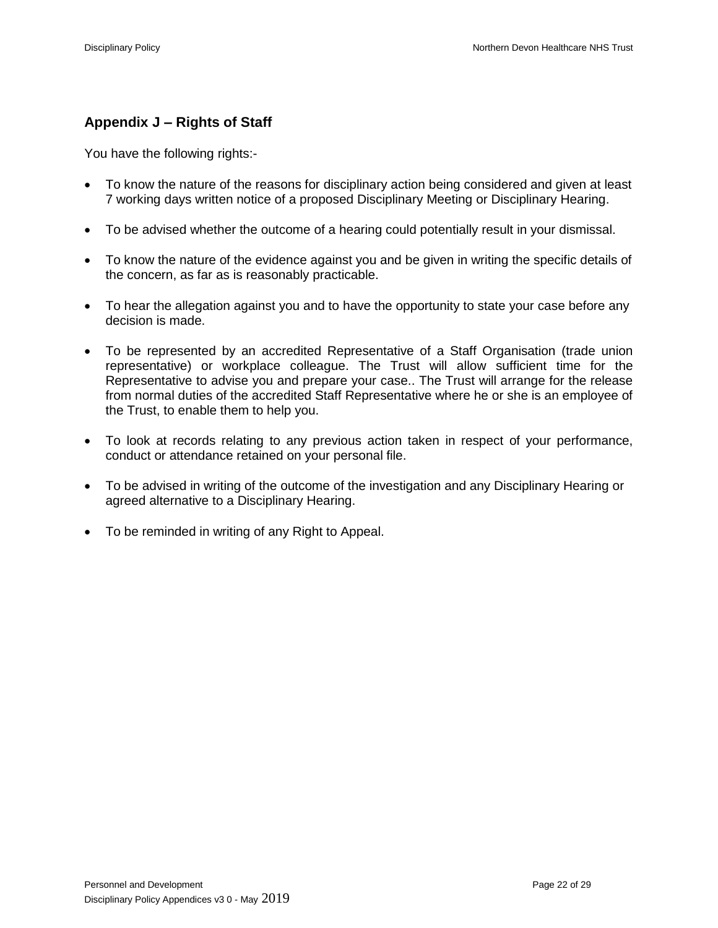# **Appendix J – Rights of Staff**

You have the following rights:-

- To know the nature of the reasons for disciplinary action being considered and given at least 7 working days written notice of a proposed Disciplinary Meeting or Disciplinary Hearing.
- To be advised whether the outcome of a hearing could potentially result in your dismissal.
- To know the nature of the evidence against you and be given in writing the specific details of the concern, as far as is reasonably practicable.
- To hear the allegation against you and to have the opportunity to state your case before any decision is made.
- To be represented by an accredited Representative of a Staff Organisation (trade union representative) or workplace colleague. The Trust will allow sufficient time for the Representative to advise you and prepare your case.. The Trust will arrange for the release from normal duties of the accredited Staff Representative where he or she is an employee of the Trust, to enable them to help you.
- To look at records relating to any previous action taken in respect of your performance, conduct or attendance retained on your personal file.
- To be advised in writing of the outcome of the investigation and any Disciplinary Hearing or agreed alternative to a Disciplinary Hearing.
- To be reminded in writing of any Right to Appeal.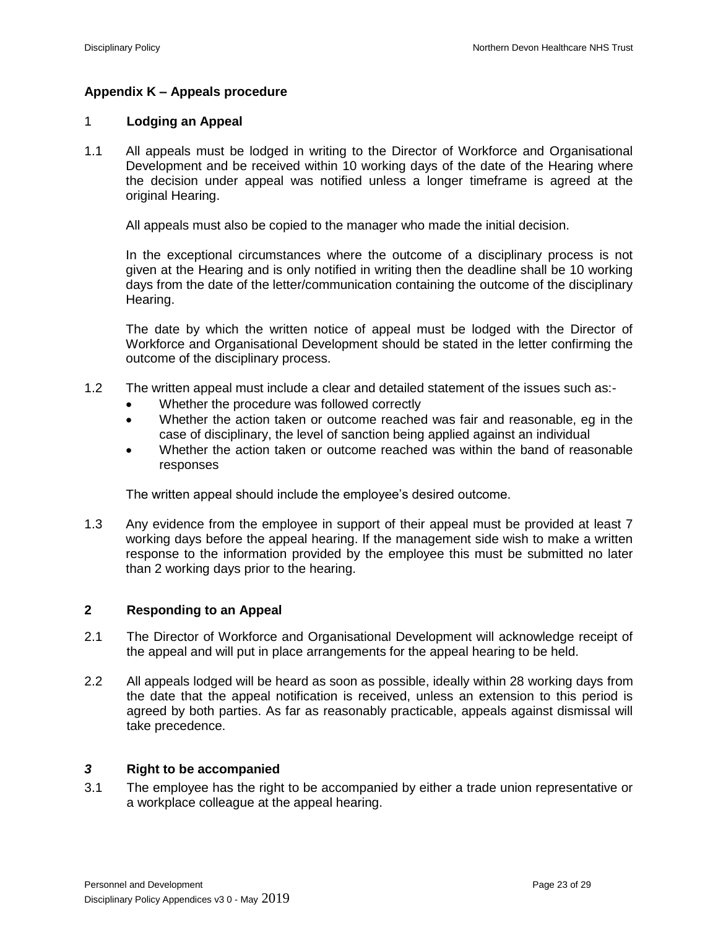## **Appendix K – Appeals procedure**

## 1 **Lodging an Appeal**

1.1 All appeals must be lodged in writing to the Director of Workforce and Organisational Development and be received within 10 working days of the date of the Hearing where the decision under appeal was notified unless a longer timeframe is agreed at the original Hearing.

All appeals must also be copied to the manager who made the initial decision.

In the exceptional circumstances where the outcome of a disciplinary process is not given at the Hearing and is only notified in writing then the deadline shall be 10 working days from the date of the letter/communication containing the outcome of the disciplinary Hearing.

The date by which the written notice of appeal must be lodged with the Director of Workforce and Organisational Development should be stated in the letter confirming the outcome of the disciplinary process.

- 1.2 The written appeal must include a clear and detailed statement of the issues such as:-
	- Whether the procedure was followed correctly
	- Whether the action taken or outcome reached was fair and reasonable, eg in the case of disciplinary, the level of sanction being applied against an individual
	- Whether the action taken or outcome reached was within the band of reasonable responses

The written appeal should include the employee's desired outcome.

1.3 Any evidence from the employee in support of their appeal must be provided at least 7 working days before the appeal hearing. If the management side wish to make a written response to the information provided by the employee this must be submitted no later than 2 working days prior to the hearing.

### **2 Responding to an Appeal**

- 2.1 The Director of Workforce and Organisational Development will acknowledge receipt of the appeal and will put in place arrangements for the appeal hearing to be held.
- 2.2 All appeals lodged will be heard as soon as possible, ideally within 28 working days from the date that the appeal notification is received, unless an extension to this period is agreed by both parties. As far as reasonably practicable, appeals against dismissal will take precedence.

### *3* **Right to be accompanied**

3.1 The employee has the right to be accompanied by either a trade union representative or a workplace colleague at the appeal hearing.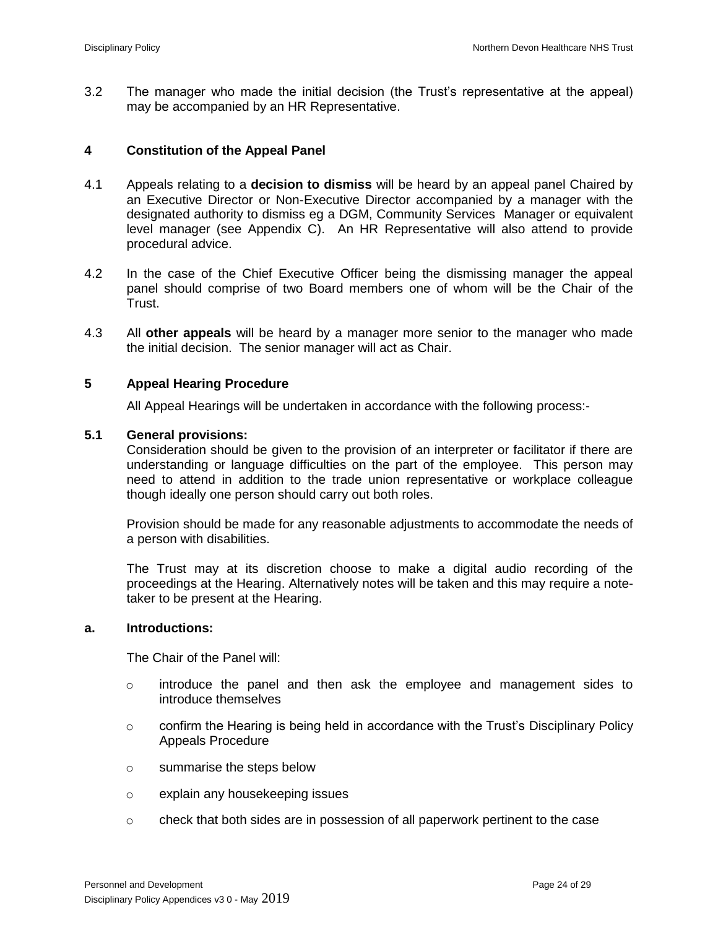3.2 The manager who made the initial decision (the Trust's representative at the appeal) may be accompanied by an HR Representative.

#### **4 Constitution of the Appeal Panel**

- 4.1 Appeals relating to a **decision to dismiss** will be heard by an appeal panel Chaired by an Executive Director or Non-Executive Director accompanied by a manager with the designated authority to dismiss eg a DGM, Community Services Manager or equivalent level manager (see Appendix C). An HR Representative will also attend to provide procedural advice.
- 4.2 In the case of the Chief Executive Officer being the dismissing manager the appeal panel should comprise of two Board members one of whom will be the Chair of the Trust.
- 4.3 All **other appeals** will be heard by a manager more senior to the manager who made the initial decision. The senior manager will act as Chair.

### **5 Appeal Hearing Procedure**

All Appeal Hearings will be undertaken in accordance with the following process:-

#### **5.1 General provisions:**

Consideration should be given to the provision of an interpreter or facilitator if there are understanding or language difficulties on the part of the employee. This person may need to attend in addition to the trade union representative or workplace colleague though ideally one person should carry out both roles.

Provision should be made for any reasonable adjustments to accommodate the needs of a person with disabilities.

The Trust may at its discretion choose to make a digital audio recording of the proceedings at the Hearing. Alternatively notes will be taken and this may require a notetaker to be present at the Hearing.

#### **a. Introductions:**

The Chair of the Panel will:

- $\circ$  introduce the panel and then ask the employee and management sides to introduce themselves
- $\circ$  confirm the Hearing is being held in accordance with the Trust's Disciplinary Policy Appeals Procedure
- o summarise the steps below
- o explain any housekeeping issues
- $\circ$  check that both sides are in possession of all paperwork pertinent to the case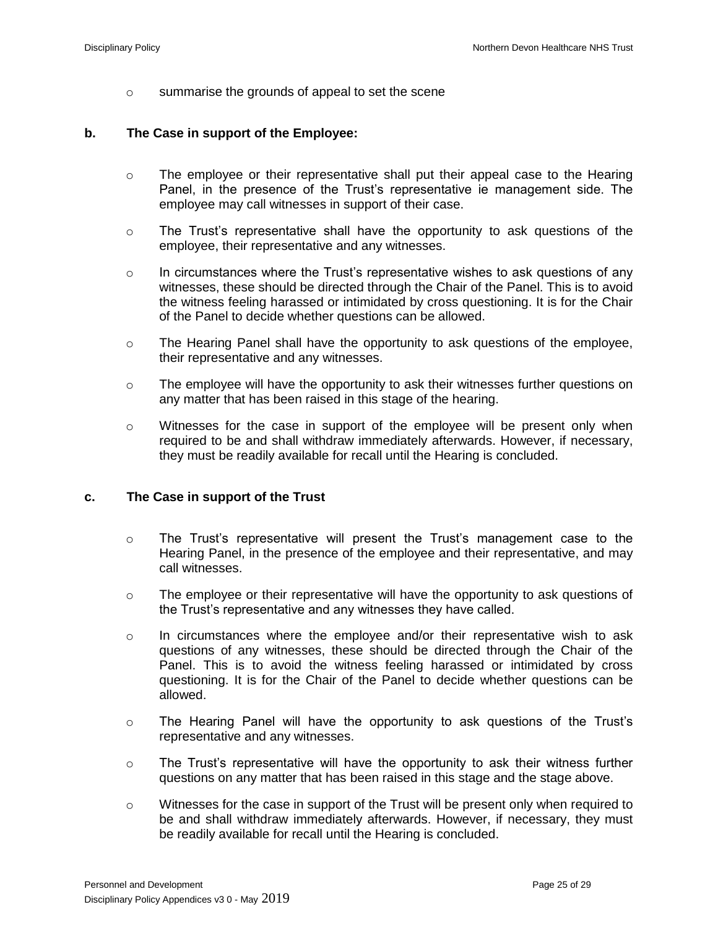o summarise the grounds of appeal to set the scene

## **b. The Case in support of the Employee:**

- $\circ$  The employee or their representative shall put their appeal case to the Hearing Panel, in the presence of the Trust's representative ie management side. The employee may call witnesses in support of their case.
- $\circ$  The Trust's representative shall have the opportunity to ask questions of the employee, their representative and any witnesses.
- $\circ$  In circumstances where the Trust's representative wishes to ask questions of any witnesses, these should be directed through the Chair of the Panel. This is to avoid the witness feeling harassed or intimidated by cross questioning. It is for the Chair of the Panel to decide whether questions can be allowed.
- o The Hearing Panel shall have the opportunity to ask questions of the employee, their representative and any witnesses.
- $\circ$  The employee will have the opportunity to ask their witnesses further questions on any matter that has been raised in this stage of the hearing.
- $\circ$  Witnesses for the case in support of the employee will be present only when required to be and shall withdraw immediately afterwards. However, if necessary, they must be readily available for recall until the Hearing is concluded.

## **c. The Case in support of the Trust**

- $\circ$  The Trust's representative will present the Trust's management case to the Hearing Panel, in the presence of the employee and their representative, and may call witnesses.
- $\circ$  The employee or their representative will have the opportunity to ask questions of the Trust's representative and any witnesses they have called.
- $\circ$  In circumstances where the employee and/or their representative wish to ask questions of any witnesses, these should be directed through the Chair of the Panel. This is to avoid the witness feeling harassed or intimidated by cross questioning. It is for the Chair of the Panel to decide whether questions can be allowed.
- o The Hearing Panel will have the opportunity to ask questions of the Trust's representative and any witnesses.
- $\circ$  The Trust's representative will have the opportunity to ask their witness further questions on any matter that has been raised in this stage and the stage above.
- $\circ$  Witnesses for the case in support of the Trust will be present only when required to be and shall withdraw immediately afterwards. However, if necessary, they must be readily available for recall until the Hearing is concluded.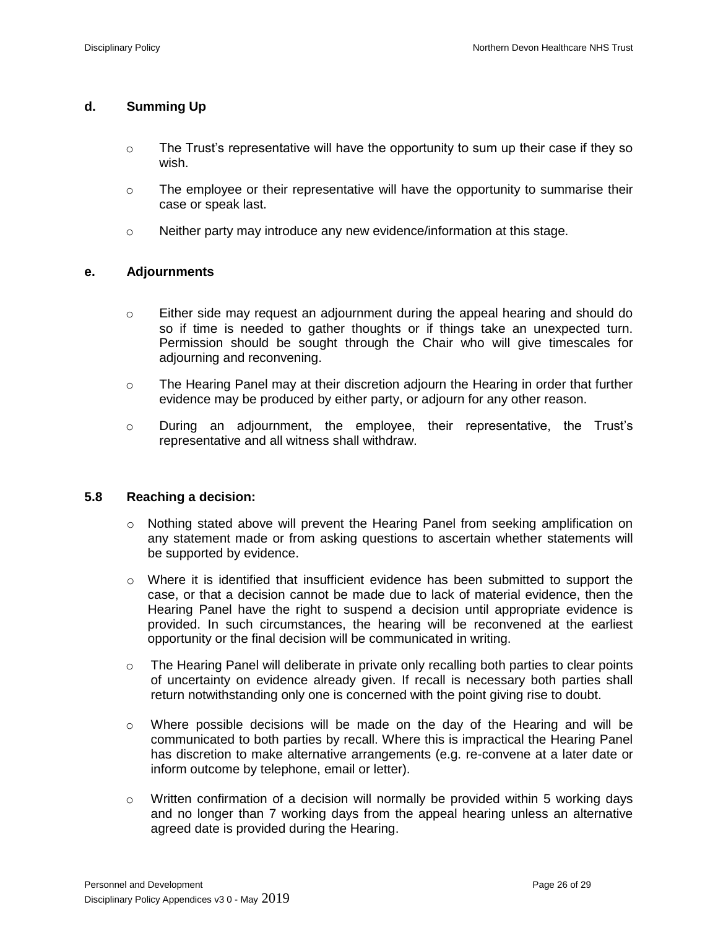## **d. Summing Up**

- $\circ$  The Trust's representative will have the opportunity to sum up their case if they so wish.
- $\circ$  The employee or their representative will have the opportunity to summarise their case or speak last.
- $\circ$  Neither party may introduce any new evidence/information at this stage.

## **e. Adjournments**

- o Either side may request an adjournment during the appeal hearing and should do so if time is needed to gather thoughts or if things take an unexpected turn. Permission should be sought through the Chair who will give timescales for adjourning and reconvening.
- o The Hearing Panel may at their discretion adjourn the Hearing in order that further evidence may be produced by either party, or adjourn for any other reason.
- o During an adjournment, the employee, their representative, the Trust's representative and all witness shall withdraw.

### **5.8 Reaching a decision:**

- o Nothing stated above will prevent the Hearing Panel from seeking amplification on any statement made or from asking questions to ascertain whether statements will be supported by evidence.
- o Where it is identified that insufficient evidence has been submitted to support the case, or that a decision cannot be made due to lack of material evidence, then the Hearing Panel have the right to suspend a decision until appropriate evidence is provided. In such circumstances, the hearing will be reconvened at the earliest opportunity or the final decision will be communicated in writing.
- $\circ$  The Hearing Panel will deliberate in private only recalling both parties to clear points of uncertainty on evidence already given. If recall is necessary both parties shall return notwithstanding only one is concerned with the point giving rise to doubt.
- $\circ$  Where possible decisions will be made on the day of the Hearing and will be communicated to both parties by recall. Where this is impractical the Hearing Panel has discretion to make alternative arrangements (e.g. re-convene at a later date or inform outcome by telephone, email or letter).
- o Written confirmation of a decision will normally be provided within 5 working days and no longer than 7 working days from the appeal hearing unless an alternative agreed date is provided during the Hearing.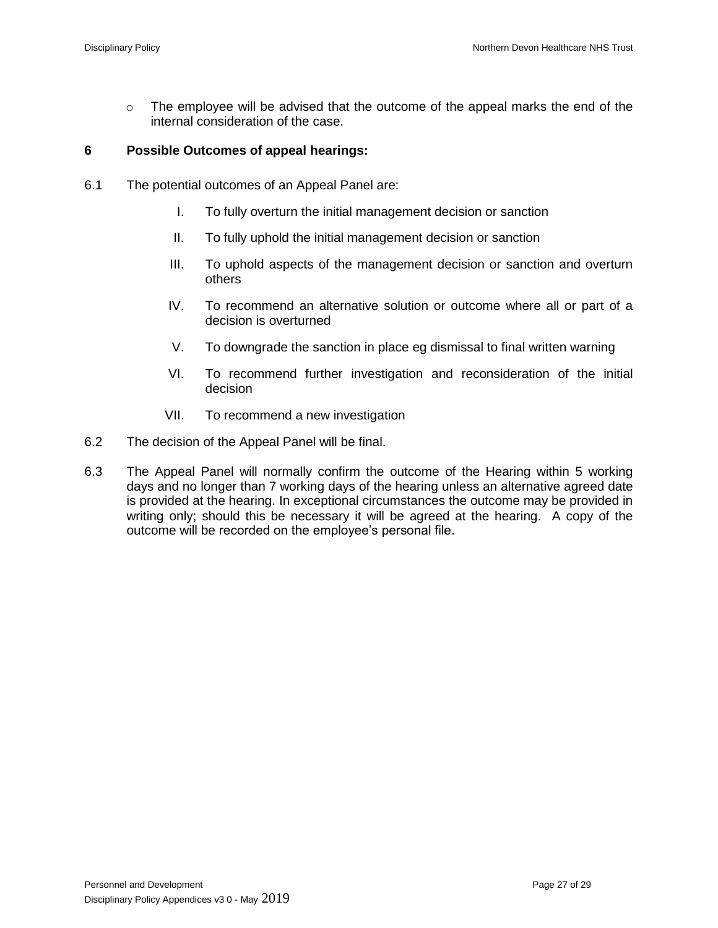o The employee will be advised that the outcome of the appeal marks the end of the internal consideration of the case.

## **6 Possible Outcomes of appeal hearings:**

- 6.1 The potential outcomes of an Appeal Panel are:
	- I. To fully overturn the initial management decision or sanction
	- II. To fully uphold the initial management decision or sanction
	- III. To uphold aspects of the management decision or sanction and overturn others
	- IV. To recommend an alternative solution or outcome where all or part of a decision is overturned
	- V. To downgrade the sanction in place eg dismissal to final written warning
	- VI. To recommend further investigation and reconsideration of the initial decision
	- VII. To recommend a new investigation
- 6.2 The decision of the Appeal Panel will be final.
- 6.3 The Appeal Panel will normally confirm the outcome of the Hearing within 5 working days and no longer than 7 working days of the hearing unless an alternative agreed date is provided at the hearing. In exceptional circumstances the outcome may be provided in writing only; should this be necessary it will be agreed at the hearing. A copy of the outcome will be recorded on the employee's personal file.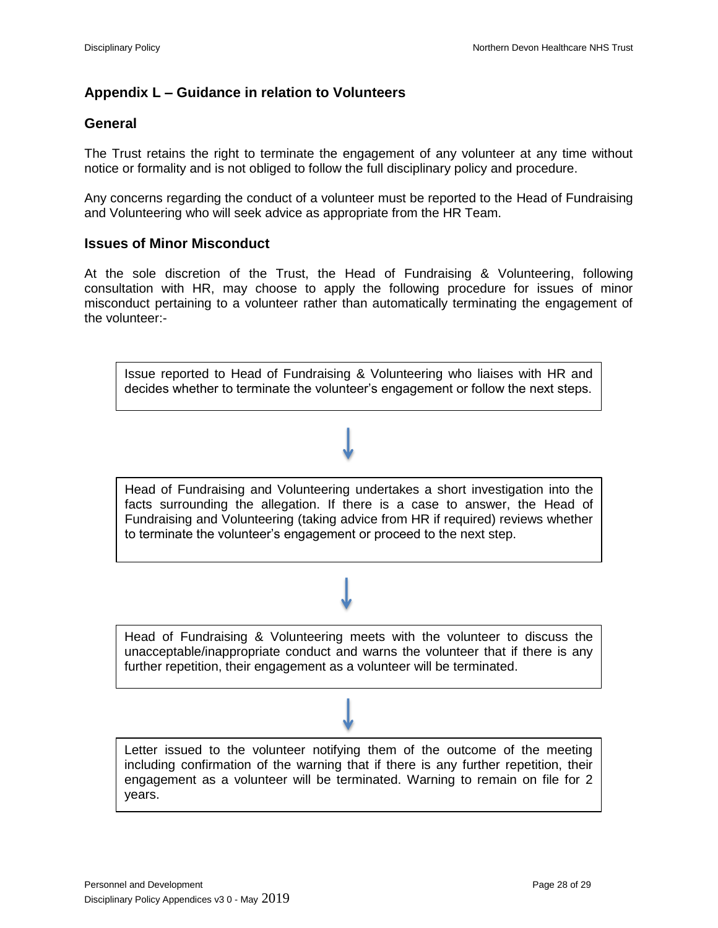# **Appendix L – Guidance in relation to Volunteers**

## **General**

The Trust retains the right to terminate the engagement of any volunteer at any time without notice or formality and is not obliged to follow the full disciplinary policy and procedure.

Any concerns regarding the conduct of a volunteer must be reported to the Head of Fundraising and Volunteering who will seek advice as appropriate from the HR Team.

## **Issues of Minor Misconduct**

At the sole discretion of the Trust, the Head of Fundraising & Volunteering, following consultation with HR, may choose to apply the following procedure for issues of minor misconduct pertaining to a volunteer rather than automatically terminating the engagement of the volunteer:-